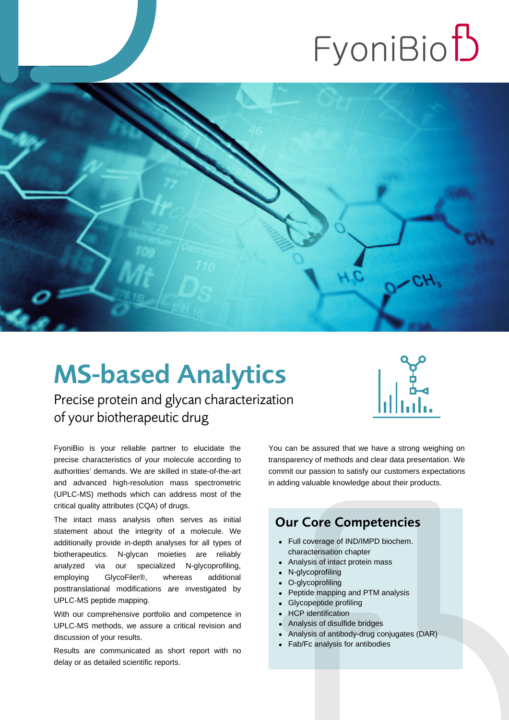# FyoniBio<sup>t</sup>



# MS-based Analytics

Precise protein and glycan characterization of your biotherapeutic drug



FyoniBio is your reliable partner to elucidate the precise characteristics of your molecule according to authorities' demands. We are skilled in state-of-the-art and advanced high-resolution mass spectrometric (UPLC-MS) methods which can address most of the critical quality attributes (CQA) of drugs.

The intact mass analysis often serves as initial statement about the integrity of a molecule. We additionally provide in-depth analyses for all types of biotherapeutics. N-glycan moieties are reliably analyzed via our specialized N-glycoprofiling, employing GlycoFiler®, whereas additional posttranslational modifications are investigated by UPLC-MS peptide mapping.

With our comprehensive portfolio and competence in UPLC-MS methods, we assure a critical revision and discussion of your results.

Results are communicated as short report with no delay or as detailed scientific reports.

You can be assured that we have a strong weighing on transparency of methods and clear data presentation. We commit our passion to satisfy our customers expectations in adding valuable knowledge about their products.

#### Our Core Competencies

- Full coverage of IND/IMPD biochem. characterisation chapter
- Analysis of intact protein mass
- [N-glycoprofiling](https://www.fyonibio.com/?page_id=2773)
- O-glycoprofiling
- Peptide mapping and PTM analysis
- Glycopeptide profiling
- HCP identification
- Analysis of disulfide bridges
- Analysis of antibody-drug conjugates (DAR)
- Fab/Fc analysis for antibodies